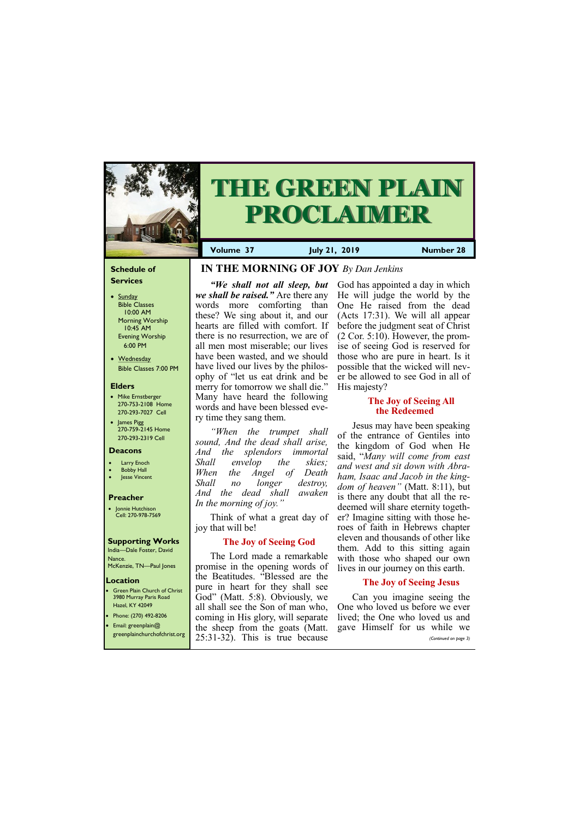#### **Schedule of Services**

- Sunday Bible Classes 10:00 AM Morning Worship 10:45 AM Evening Worship 6:00 PM
- Wednesday Bible Classes 7:00 PM

#### **Elders**

Green Plain Church of Christ 3980 Murray Paris Road Hazel, KY 42049

- Mike Ernstberger 270-753-2108 Home 270-293-7027 Cell
- James Pigg 270-759-2145 Home 270-293-2319 Cell



# **THE GREEN PLAIN PROCLAIMER**

#### **Location**

**Volume 37 July 21, 2019 Number 28**

#### **Deacons**

- **Larry Enoch**
- **Bobby Hall**
- Jesse Vincent

#### **Preacher**

• Jonnie Hutchison Cell: 270-978-7569

#### **Supporting Works**

India—Dale Foster, David Nance. McKenzie, TN—Paul Jones

# **IN THE MORNING OF JOY** *By Dan Jenkins*

*"We shall not all sleep, but we shall be raised."* Are there any words more comforting than these? We sing about it, and our hearts are filled with comfort. If there is no resurrection, we are of all men most miserable; our lives have been wasted, and we should have lived our lives by the philosophy of "let us eat drink and be merry for tomorrow we shall die." Many have heard the following words and have been blessed every time they sang them.

*"When the trumpet shall sound, And the dead shall arise, And the splendors immortal Shall envelop the skies; When the Angel of Death Shall no longer destroy, And the dead shall awaken In the morning of joy."*

Think of what a great day of joy that will be!

## **The Joy of Seeing God**

The Lord made a remarkable promise in the opening words of the Beatitudes. "Blessed are the pure in heart for they shall see

• Phone: (270) 492-8206 • Email: greenplain@ greenplainchurchofchrist.org God" (Matt. 5:8). Obviously, we all shall see the Son of man who, coming in His glory, will separate the sheep from the goats (Matt. 25:31-32). This is true because Can you imagine seeing the One who loved us before we ever lived; the One who loved us and gave Himself for us while we *(Continued on page 3)*

God has appointed a day in which He will judge the world by the One He raised from the dead (Acts 17:31). We will all appear before the judgment seat of Christ (2 Cor. 5:10). However, the promise of seeing God is reserved for those who are pure in heart. Is it possible that the wicked will never be allowed to see God in all of His majesty?

## **The Joy of Seeing All the Redeemed**

Jesus may have been speaking of the entrance of Gentiles into the kingdom of God when He said, "*Many will come from east and west and sit down with Abraham, Isaac and Jacob in the kingdom of heaven"* (Matt. 8:11), but is there any doubt that all the redeemed will share eternity together? Imagine sitting with those heroes of faith in Hebrews chapter eleven and thousands of other like them. Add to this sitting again with those who shaped our own lives in our journey on this earth.

## **The Joy of Seeing Jesus**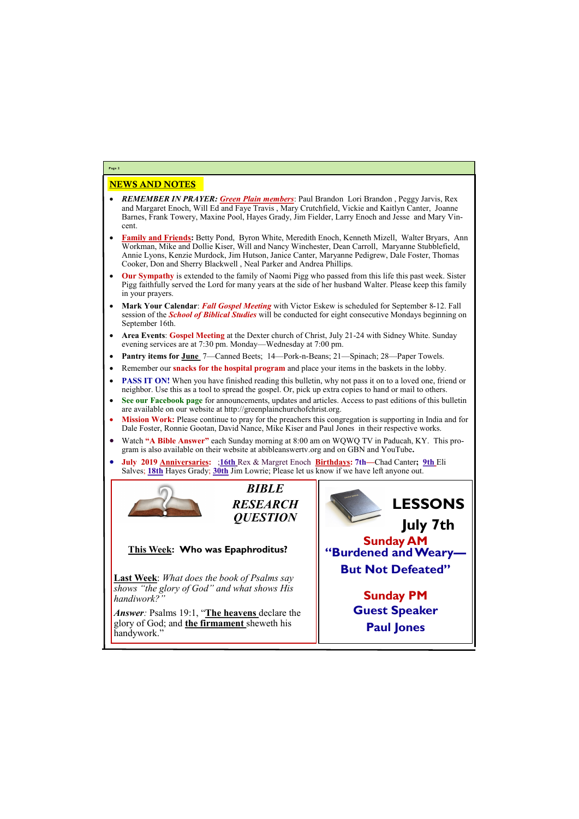# NEWS AND NOTES

- *REMEMBER IN PRAYER: Green Plain members*: Paul Brandon Lori Brandon , Peggy Jarvis, Rex and Margaret Enoch, Will Ed and Faye Travis , Mary Crutchfield, Vickie and Kaitlyn Canter, Joanne Barnes, Frank Towery, Maxine Pool, Hayes Grady, Jim Fielder, Larry Enoch and Jesse and Mary Vincent.
- **Family and Friends:** Betty Pond, Byron White, Meredith Enoch, Kenneth Mizell, Walter Bryars, Ann Workman, Mike and Dollie Kiser, Will and Nancy Winchester, Dean Carroll, Maryanne Stubblefield, Annie Lyons, Kenzie Murdock, Jim Hutson, Janice Canter, Maryanne Pedigrew, Dale Foster, Thomas Cooker, Don and Sherry Blackwell , Neal Parker and Andrea Phillips.
- **Our Sympathy** is extended to the family of Naomi Pigg who passed from this life this past week. Sister Pigg faithfully served the Lord for many years at the side of her husband Walter. Please keep this family in your prayers.
- **Mark Your Calendar**: *Fall Gospel Meeting* with Victor Eskew is scheduled for September 8-12. Fall session of the *School of Biblical Studies* will be conducted for eight consecutive Mondays beginning on September 16th.
- **Area Events**: **Gospel Meeting** at the Dexter church of Christ, July 21-24 with Sidney White. Sunday evening services are at 7:30 pm. Monday—Wednesday at 7:00 pm.
- **Pantry items for June** 7—Canned Beets; 14—Pork-n-Beans; 21—Spinach; 28—Paper Towels.
- Remember our **snacks for the hospital program** and place your items in the baskets in the lobby.
- **PASS IT ON!** When you have finished reading this bulletin, why not pass it on to a loved one, friend or neighbor. Use this as a tool to spread the gospel. Or, pick up extra copies to hand or mail to others.
- **See our Facebook page** for announcements, updates and articles. Access to past editions of this bulletin are available on our website at http://greenplainchurchofchrist.org.
- **Mission Work:** Please continue to pray for the preachers this congregation is supporting in India and for Dale Foster, Ronnie Gootan, David Nance, Mike Kiser and Paul Jones in their respective works.
- Watch **"A Bible Answer"** each Sunday morning at 8:00 am on WQWQ TV in Paducah, KY. This program is also available on their website at abibleanswertv.org and on GBN and YouTube**.**
- **July 2019 Anniversaries:** ;**16th** Rex & Margret Enoch **Birthdays: 7th—**Chad Canter**; 9th** Eli Salves; **18th** Hayes Grady; **30th** Jim Lowrie; Please let us know if we have left anyone out.



**Page 2**





**Last Week**: *What does the book of Psalms say shows "the glory of God" and what shows His handiwork?"* 

*Answer:* Psalms 19:1, "**The heavens** declare the glory of God; and **the firmament** sheweth his handywork."



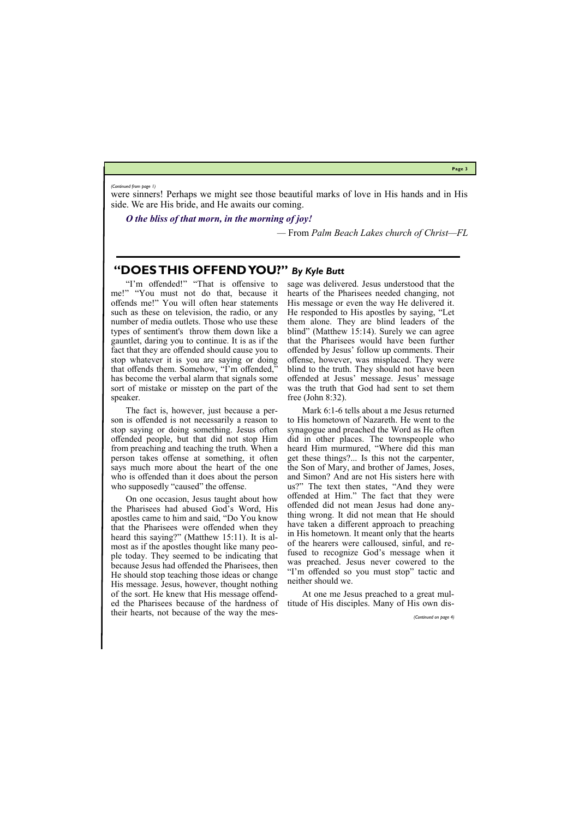**Page 3**

# **"DOES THIS OFFEND YOU?"** *By Kyle Butt*

The fact is, however, just because a person is offended is not necessarily a reason to stop saying or doing something. Jesus often offended people, but that did not stop Him from preaching and teaching the truth. When a person takes offense at something, it often says much more about the heart of the one who is offended than it does about the person who supposedly "caused" the offense.

"I'm offended!" "That is offensive to me!" "You must not do that, because it offends me!" You will often hear statements such as these on television, the radio, or any number of media outlets. Those who use these types of sentiment's throw them down like a gauntlet, daring you to continue. It is as if the fact that they are offended should cause you to stop whatever it is you are saying or doing that offends them. Somehow, "I'm offended," has become the verbal alarm that signals some sort of mistake or misstep on the part of the speaker.

On one occasion, Jesus taught about how the Pharisees had abused God's Word, His apostles came to him and said, "Do You know that the Pharisees were offended when they heard this saying?" (Matthew 15:11). It is almost as if the apostles thought like many people today. They seemed to be indicating that because Jesus had offended the Pharisees, then He should stop teaching those ideas or change His message. Jesus, however, thought nothing of the sort. He knew that His message offended the Pharisees because of the hardness of their hearts, not because of the way the mes-

sage was delivered. Jesus understood that the hearts of the Pharisees needed changing, not His message or even the way He delivered it. He responded to His apostles by saying, "Let them alone. They are blind leaders of the blind" (Matthew 15:14). Surely we can agree that the Pharisees would have been further offended by Jesus' follow up comments. Their offense, however, was misplaced. They were blind to the truth. They should not have been offended at Jesus' message. Jesus' message was the truth that God had sent to set them free (John 8:32).

Mark 6:1‐6 tells about a me Jesus returned to His hometown of Nazareth. He went to the synagogue and preached the Word as He often did in other places. The townspeople who heard Him murmured, "Where did this man get these things?... Is this not the carpenter, the Son of Mary, and brother of James, Joses, and Simon? And are not His sisters here with us?" The text then states, "And they were offended at Him." The fact that they were offended did not mean Jesus had done anything wrong. It did not mean that He should have taken a different approach to preaching in His hometown. It meant only that the hearts of the hearers were calloused, sinful, and refused to recognize God's message when it was preached. Jesus never cowered to the "I'm offended so you must stop" tactic and neither should we.

At one me Jesus preached to a great multitude of His disciples. Many of His own dis-

were sinners! Perhaps we might see those beautiful marks of love in His hands and in His side. We are His bride, and He awaits our coming.

*O the bliss of that morn, in the morning of joy!*

*—* From *Palm Beach Lakes church of Christ—FL*

*(Continued from page 1)*